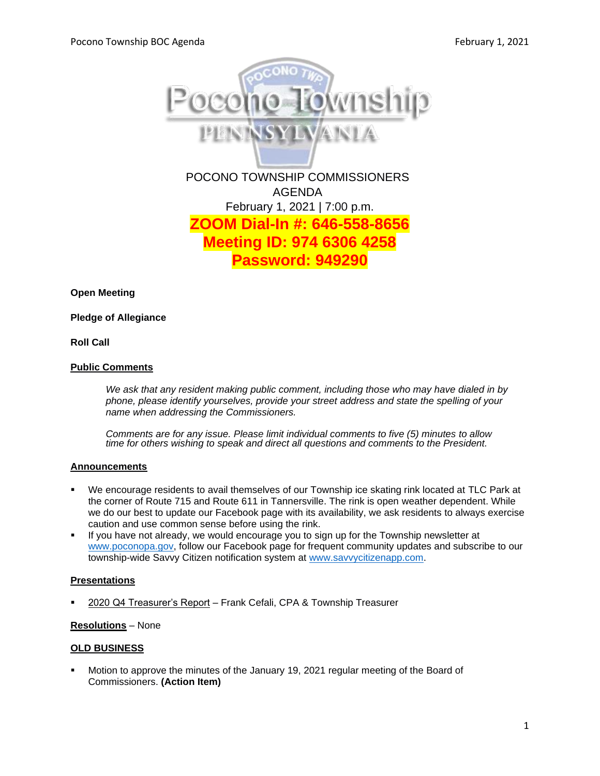

February 1, 2021 | 7:00 p.m. **ZOOM Dial-In #: 646-558-8656 Meeting ID: 974 6306 4258 Password: 949290**

**Open Meeting**

**Pledge of Allegiance**

### **Roll Call**

#### **Public Comments**

*We ask that any resident making public comment, including those who may have dialed in by phone, please identify yourselves, provide your street address and state the spelling of your name when addressing the Commissioners.*

*Comments are for any issue. Please limit individual comments to five (5) minutes to allow time for others wishing to speak and direct all questions and comments to the President.* 

### **Announcements**

- We encourage residents to avail themselves of our Township ice skating rink located at TLC Park at the corner of Route 715 and Route 611 in Tannersville. The rink is open weather dependent. While we do our best to update our Facebook page with its availability, we ask residents to always exercise caution and use common sense before using the rink.
- If you have not already, we would encourage you to sign up for the Township newsletter at [www.poconopa.gov,](http://www.poconopa.gov/) follow our Facebook page for frequent community updates and subscribe to our township-wide Savvy Citizen notification system at [www.savvycitizenapp.com.](http://www.savvycitizenapp.com/)

### **Presentations**

2020 Q4 Treasurer's Report - Frank Cefali, CPA & Township Treasurer

#### **Resolutions** – None

#### **OLD BUSINESS**

Motion to approve the minutes of the January 19, 2021 regular meeting of the Board of Commissioners. **(Action Item)**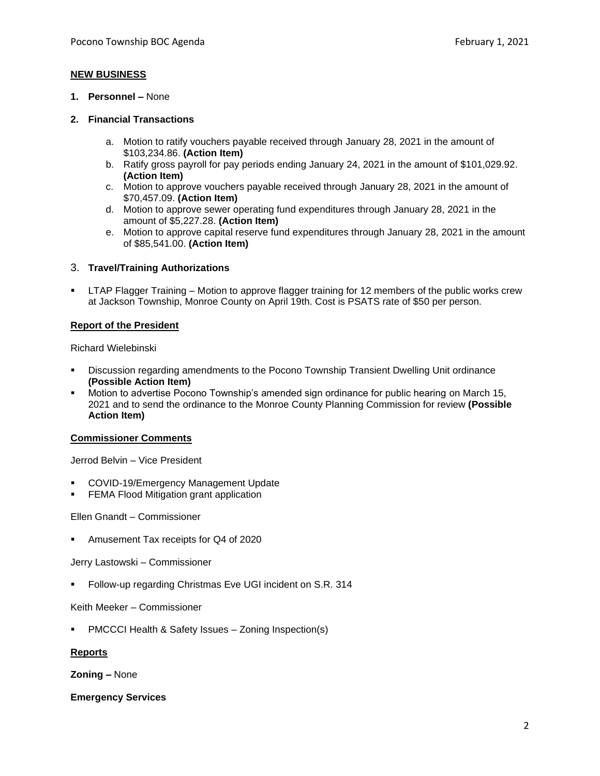### **NEW BUSINESS**

**1. Personnel –** None

### **2. Financial Transactions**

- a. Motion to ratify vouchers payable received through January 28, 2021 in the amount of \$103,234.86. **(Action Item)**
- b. Ratify gross payroll for pay periods ending January 24, 2021 in the amount of \$101,029.92. **(Action Item)**
- c. Motion to approve vouchers payable received through January 28, 2021 in the amount of \$70,457.09. **(Action Item)**
- d. Motion to approve sewer operating fund expenditures through January 28, 2021 in the amount of \$5,227.28. **(Action Item)**
- e. Motion to approve capital reserve fund expenditures through January 28, 2021 in the amount of \$85,541.00. **(Action Item)**

#### 3. **Travel/Training Authorizations**

LTAP Flagger Training – Motion to approve flagger training for 12 members of the public works crew at Jackson Township, Monroe County on April 19th. Cost is PSATS rate of \$50 per person.

#### **Report of the President**

Richard Wielebinski

- Discussion regarding amendments to the Pocono Township Transient Dwelling Unit ordinance **(Possible Action Item)**
- Motion to advertise Pocono Township's amended sign ordinance for public hearing on March 15, 2021 and to send the ordinance to the Monroe County Planning Commission for review **(Possible Action Item)**

#### **Commissioner Comments**

Jerrod Belvin – Vice President

- COVID-19/Emergency Management Update
- **FEMA Flood Mitigation grant application**

Ellen Gnandt – Commissioner

Amusement Tax receipts for Q4 of 2020

Jerry Lastowski – Commissioner

Follow-up regarding Christmas Eve UGI incident on S.R. 314

Keith Meeker – Commissioner

PMCCCI Health & Safety Issues - Zoning Inspection(s)

## **Reports**

**Zoning –** None

**Emergency Services**